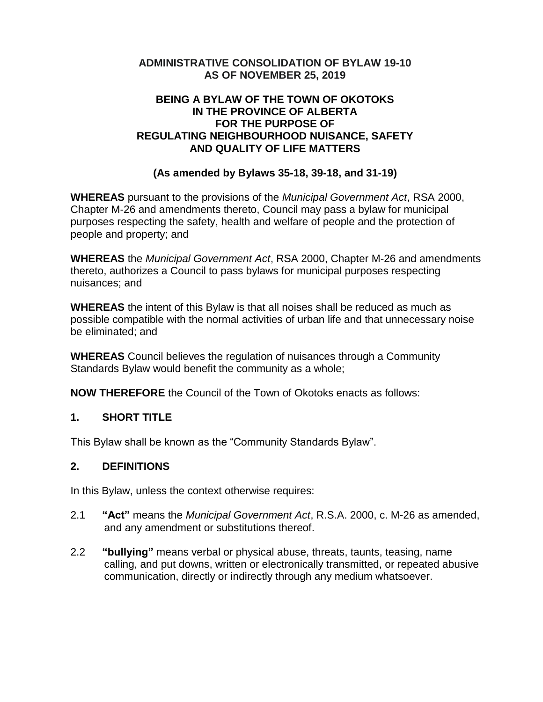## **ADMINISTRATIVE CONSOLIDATION OF BYLAW 19-10 AS OF NOVEMBER 25, 2019**

### **BEING A BYLAW OF THE TOWN OF OKOTOKS IN THE PROVINCE OF ALBERTA FOR THE PURPOSE OF REGULATING NEIGHBOURHOOD NUISANCE, SAFETY AND QUALITY OF LIFE MATTERS**

# **(As amended by Bylaws 35-18, 39-18, and 31-19)**

**WHEREAS** pursuant to the provisions of the *Municipal Government Act*, RSA 2000, Chapter M-26 and amendments thereto, Council may pass a bylaw for municipal purposes respecting the safety, health and welfare of people and the protection of people and property; and

**WHEREAS** the *Municipal Government Act*, RSA 2000, Chapter M-26 and amendments thereto, authorizes a Council to pass bylaws for municipal purposes respecting nuisances; and

**WHEREAS** the intent of this Bylaw is that all noises shall be reduced as much as possible compatible with the normal activities of urban life and that unnecessary noise be eliminated; and

**WHEREAS** Council believes the regulation of nuisances through a Community Standards Bylaw would benefit the community as a whole;

**NOW THEREFORE** the Council of the Town of Okotoks enacts as follows:

### **1. SHORT TITLE**

This Bylaw shall be known as the "Community Standards Bylaw".

### **2. DEFINITIONS**

In this Bylaw, unless the context otherwise requires:

- 2.1 **"Act"** means the *Municipal Government Act*, R.S.A. 2000, c. M-26 as amended, and any amendment or substitutions thereof.
- 2.2 **"bullying"** means verbal or physical abuse, threats, taunts, teasing, name calling, and put downs, written or electronically transmitted, or repeated abusive communication, directly or indirectly through any medium whatsoever.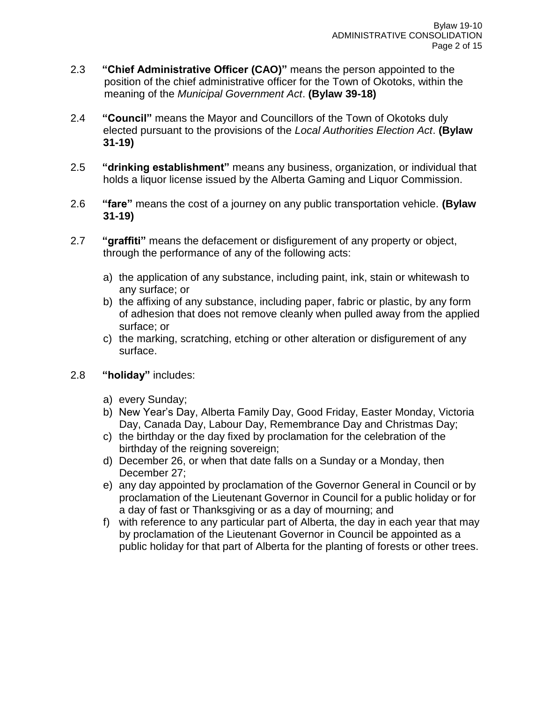- 2.3 **"Chief Administrative Officer (CAO)"** means the person appointed to the position of the chief administrative officer for the Town of Okotoks, within the meaning of the *Municipal Government Act*. **(Bylaw 39-18)**
- 2.4 **"Council"** means the Mayor and Councillors of the Town of Okotoks duly elected pursuant to the provisions of the *Local Authorities Election Act*. **(Bylaw 31-19)**
- 2.5 **"drinking establishment"** means any business, organization, or individual that holds a liquor license issued by the Alberta Gaming and Liquor Commission.
- 2.6 **"fare"** means the cost of a journey on any public transportation vehicle. **(Bylaw 31-19)**
- 2.7 **"graffiti"** means the defacement or disfigurement of any property or object, through the performance of any of the following acts:
	- a) the application of any substance, including paint, ink, stain or whitewash to any surface; or
	- b) the affixing of any substance, including paper, fabric or plastic, by any form of adhesion that does not remove cleanly when pulled away from the applied surface; or
	- c) the marking, scratching, etching or other alteration or disfigurement of any surface.
- 2.8 **"holiday"** includes:
	- a) every Sunday;
	- b) New Year's Day, Alberta Family Day, Good Friday, Easter Monday, Victoria Day, Canada Day, Labour Day, Remembrance Day and Christmas Day;
	- c) the birthday or the day fixed by proclamation for the celebration of the birthday of the reigning sovereign;
	- d) December 26, or when that date falls on a Sunday or a Monday, then December 27;
	- e) any day appointed by proclamation of the Governor General in Council or by proclamation of the Lieutenant Governor in Council for a public holiday or for a day of fast or Thanksgiving or as a day of mourning; and
	- f) with reference to any particular part of Alberta, the day in each year that may by proclamation of the Lieutenant Governor in Council be appointed as a public holiday for that part of Alberta for the planting of forests or other trees.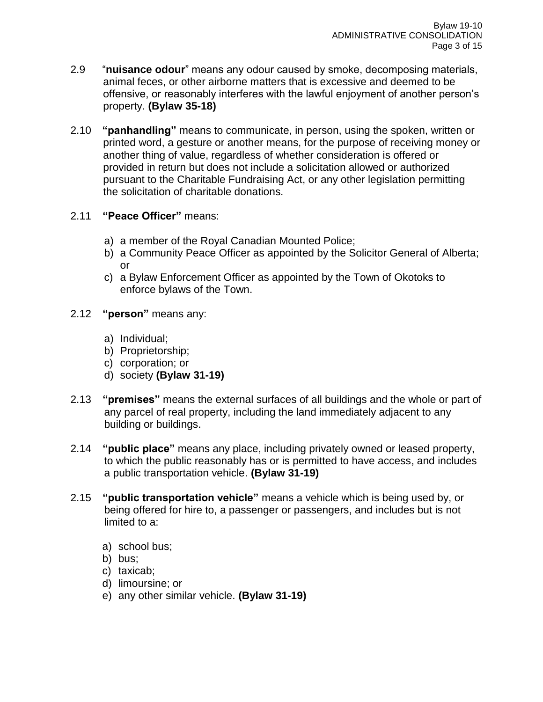- 2.9 "**nuisance odour**" means any odour caused by smoke, decomposing materials, animal feces, or other airborne matters that is excessive and deemed to be offensive, or reasonably interferes with the lawful enjoyment of another person's property. **(Bylaw 35-18)**
- 2.10 **"panhandling"** means to communicate, in person, using the spoken, written or printed word, a gesture or another means, for the purpose of receiving money or another thing of value, regardless of whether consideration is offered or provided in return but does not include a solicitation allowed or authorized pursuant to the Charitable Fundraising Act, or any other legislation permitting the solicitation of charitable donations.

# 2.11 **"Peace Officer"** means:

- a) a member of the Royal Canadian Mounted Police;
- b) a Community Peace Officer as appointed by the Solicitor General of Alberta; or
- c) a Bylaw Enforcement Officer as appointed by the Town of Okotoks to enforce bylaws of the Town.
- 2.12 **"person"** means any:
	- a) Individual;
	- b) Proprietorship;
	- c) corporation; or
	- d) society **(Bylaw 31-19)**
- 2.13 **"premises"** means the external surfaces of all buildings and the whole or part of any parcel of real property, including the land immediately adjacent to any building or buildings.
- 2.14 **"public place"** means any place, including privately owned or leased property, to which the public reasonably has or is permitted to have access, and includes a public transportation vehicle. **(Bylaw 31-19)**
- 2.15 **"public transportation vehicle"** means a vehicle which is being used by, or being offered for hire to, a passenger or passengers, and includes but is not limited to a:
	- a) school bus;
	- b) bus;
	- c) taxicab;
	- d) limoursine; or
	- e) any other similar vehicle. **(Bylaw 31-19)**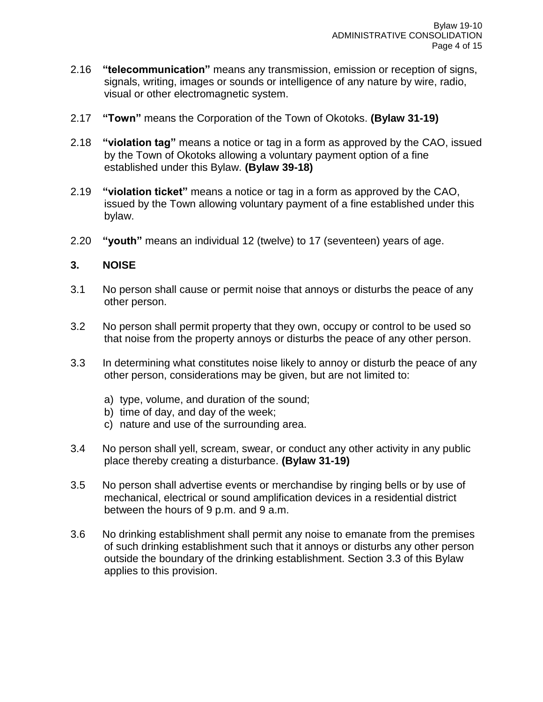- 2.16 **"telecommunication"** means any transmission, emission or reception of signs, signals, writing, images or sounds or intelligence of any nature by wire, radio, visual or other electromagnetic system.
- 2.17 **"Town"** means the Corporation of the Town of Okotoks. **(Bylaw 31-19)**
- 2.18 **"violation tag"** means a notice or tag in a form as approved by the CAO, issued by the Town of Okotoks allowing a voluntary payment option of a fine established under this Bylaw. **(Bylaw 39-18)**
- 2.19 **"violation ticket"** means a notice or tag in a form as approved by the CAO, issued by the Town allowing voluntary payment of a fine established under this bylaw.
- 2.20 **"youth"** means an individual 12 (twelve) to 17 (seventeen) years of age.

### **3. NOISE**

- 3.1 No person shall cause or permit noise that annoys or disturbs the peace of any other person.
- 3.2 No person shall permit property that they own, occupy or control to be used so that noise from the property annoys or disturbs the peace of any other person.
- 3.3 In determining what constitutes noise likely to annoy or disturb the peace of any other person, considerations may be given, but are not limited to:
	- a) type, volume, and duration of the sound;
	- b) time of day, and day of the week;
	- c) nature and use of the surrounding area.
- 3.4 No person shall yell, scream, swear, or conduct any other activity in any public place thereby creating a disturbance. **(Bylaw 31-19)**
- 3.5 No person shall advertise events or merchandise by ringing bells or by use of mechanical, electrical or sound amplification devices in a residential district between the hours of 9 p.m. and 9 a.m.
- 3.6 No drinking establishment shall permit any noise to emanate from the premises of such drinking establishment such that it annoys or disturbs any other person outside the boundary of the drinking establishment. Section 3.3 of this Bylaw applies to this provision.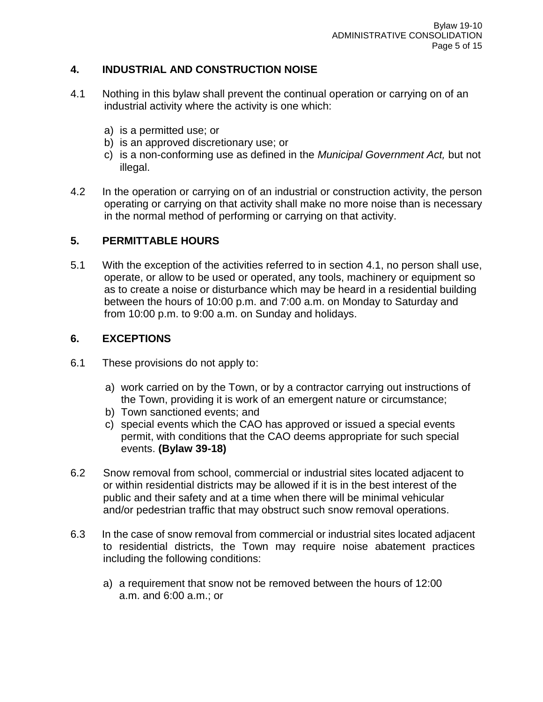# **4. INDUSTRIAL AND CONSTRUCTION NOISE**

- 4.1 Nothing in this bylaw shall prevent the continual operation or carrying on of an industrial activity where the activity is one which:
	- a) is a permitted use; or
	- b) is an approved discretionary use; or
	- c) is a non-conforming use as defined in the *Municipal Government Act,* but not illegal.
- 4.2 In the operation or carrying on of an industrial or construction activity, the person operating or carrying on that activity shall make no more noise than is necessary in the normal method of performing or carrying on that activity.

# **5. PERMITTABLE HOURS**

5.1 With the exception of the activities referred to in section 4.1, no person shall use, operate, or allow to be used or operated, any tools, machinery or equipment so as to create a noise or disturbance which may be heard in a residential building between the hours of 10:00 p.m. and 7:00 a.m. on Monday to Saturday and from 10:00 p.m. to 9:00 a.m. on Sunday and holidays.

# **6. EXCEPTIONS**

- 6.1 These provisions do not apply to:
	- a) work carried on by the Town, or by a contractor carrying out instructions of the Town, providing it is work of an emergent nature or circumstance;
	- b) Town sanctioned events; and
	- c) special events which the CAO has approved or issued a special events permit, with conditions that the CAO deems appropriate for such special events. **(Bylaw 39-18)**
- 6.2 Snow removal from school, commercial or industrial sites located adjacent to or within residential districts may be allowed if it is in the best interest of the public and their safety and at a time when there will be minimal vehicular and/or pedestrian traffic that may obstruct such snow removal operations.
- 6.3 In the case of snow removal from commercial or industrial sites located adjacent to residential districts, the Town may require noise abatement practices including the following conditions:
	- a) a requirement that snow not be removed between the hours of 12:00 a.m. and 6:00 a.m.; or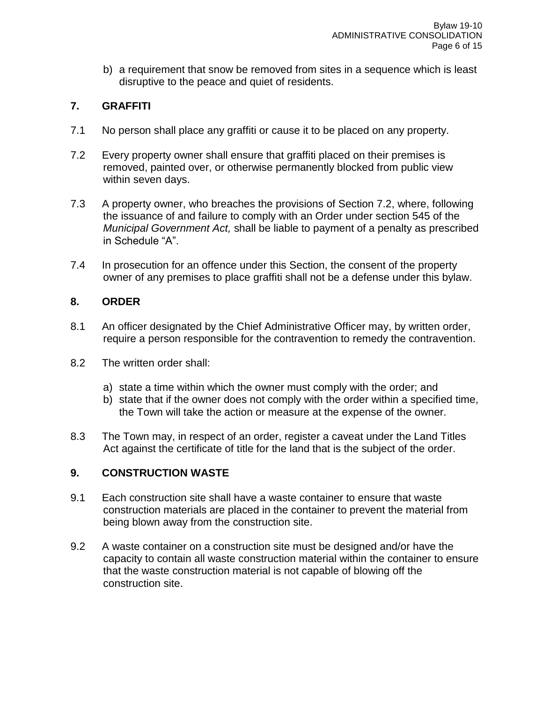b) a requirement that snow be removed from sites in a sequence which is least disruptive to the peace and quiet of residents.

# **7. GRAFFITI**

- 7.1 No person shall place any graffiti or cause it to be placed on any property.
- 7.2 Every property owner shall ensure that graffiti placed on their premises is removed, painted over, or otherwise permanently blocked from public view within seven days.
- 7.3 A property owner, who breaches the provisions of Section 7.2, where, following the issuance of and failure to comply with an Order under section 545 of the *Municipal Government Act,* shall be liable to payment of a penalty as prescribed in Schedule "A".
- 7.4 In prosecution for an offence under this Section, the consent of the property owner of any premises to place graffiti shall not be a defense under this bylaw.

### **8. ORDER**

- 8.1 An officer designated by the Chief Administrative Officer may, by written order, require a person responsible for the contravention to remedy the contravention.
- 8.2 The written order shall:
	- a) state a time within which the owner must comply with the order; and
	- b) state that if the owner does not comply with the order within a specified time, the Town will take the action or measure at the expense of the owner.
- 8.3 The Town may, in respect of an order, register a caveat under the Land Titles Act against the certificate of title for the land that is the subject of the order.

### **9. CONSTRUCTION WASTE**

- 9.1 Each construction site shall have a waste container to ensure that waste construction materials are placed in the container to prevent the material from being blown away from the construction site.
- 9.2 A waste container on a construction site must be designed and/or have the capacity to contain all waste construction material within the container to ensure that the waste construction material is not capable of blowing off the construction site.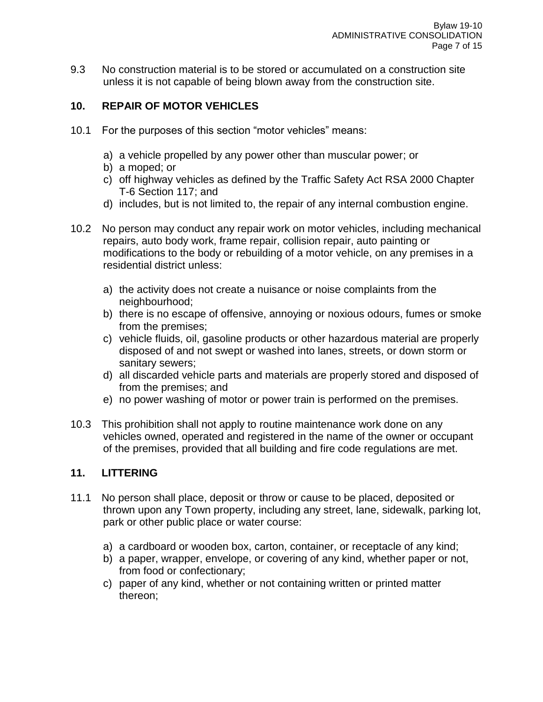9.3 No construction material is to be stored or accumulated on a construction site unless it is not capable of being blown away from the construction site.

## **10. REPAIR OF MOTOR VEHICLES**

- 10.1 For the purposes of this section "motor vehicles" means:
	- a) a vehicle propelled by any power other than muscular power; or
	- b) a moped; or
	- c) off highway vehicles as defined by the Traffic Safety Act RSA 2000 Chapter T-6 Section 117; and
	- d) includes, but is not limited to, the repair of any internal combustion engine.
- 10.2 No person may conduct any repair work on motor vehicles, including mechanical repairs, auto body work, frame repair, collision repair, auto painting or modifications to the body or rebuilding of a motor vehicle, on any premises in a residential district unless:
	- a) the activity does not create a nuisance or noise complaints from the neighbourhood;
	- b) there is no escape of offensive, annoying or noxious odours, fumes or smoke from the premises;
	- c) vehicle fluids, oil, gasoline products or other hazardous material are properly disposed of and not swept or washed into lanes, streets, or down storm or sanitary sewers;
	- d) all discarded vehicle parts and materials are properly stored and disposed of from the premises; and
	- e) no power washing of motor or power train is performed on the premises.
- 10.3 This prohibition shall not apply to routine maintenance work done on any vehicles owned, operated and registered in the name of the owner or occupant of the premises, provided that all building and fire code regulations are met.

### **11. LITTERING**

- 11.1 No person shall place, deposit or throw or cause to be placed, deposited or thrown upon any Town property, including any street, lane, sidewalk, parking lot, park or other public place or water course:
	- a) a cardboard or wooden box, carton, container, or receptacle of any kind;
	- b) a paper, wrapper, envelope, or covering of any kind, whether paper or not, from food or confectionary;
	- c) paper of any kind, whether or not containing written or printed matter thereon;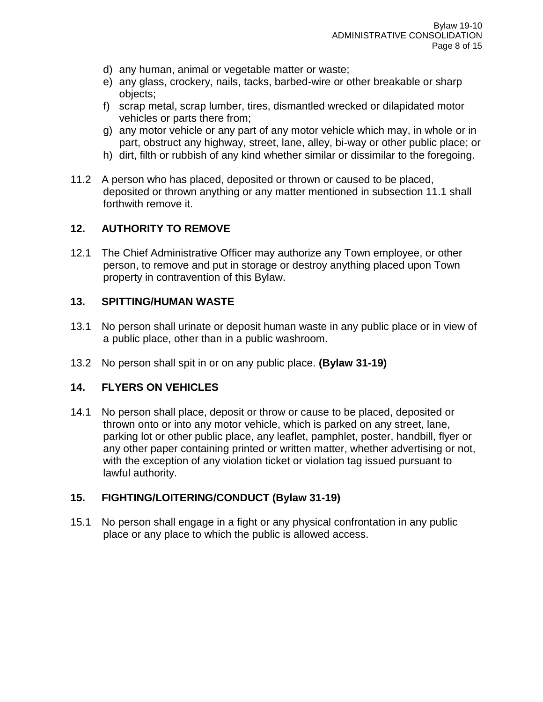- d) any human, animal or vegetable matter or waste;
- e) any glass, crockery, nails, tacks, barbed-wire or other breakable or sharp objects;
- f) scrap metal, scrap lumber, tires, dismantled wrecked or dilapidated motor vehicles or parts there from;
- g) any motor vehicle or any part of any motor vehicle which may, in whole or in part, obstruct any highway, street, lane, alley, bi-way or other public place; or
- h) dirt, filth or rubbish of any kind whether similar or dissimilar to the foregoing.
- 11.2 A person who has placed, deposited or thrown or caused to be placed, deposited or thrown anything or any matter mentioned in subsection 11.1 shall forthwith remove it.

# **12. AUTHORITY TO REMOVE**

12.1 The Chief Administrative Officer may authorize any Town employee, or other person, to remove and put in storage or destroy anything placed upon Town property in contravention of this Bylaw.

### **13. SPITTING/HUMAN WASTE**

- 13.1 No person shall urinate or deposit human waste in any public place or in view of a public place, other than in a public washroom.
- 13.2 No person shall spit in or on any public place. **(Bylaw 31-19)**

### **14. FLYERS ON VEHICLES**

14.1 No person shall place, deposit or throw or cause to be placed, deposited or thrown onto or into any motor vehicle, which is parked on any street, lane, parking lot or other public place, any leaflet, pamphlet, poster, handbill, flyer or any other paper containing printed or written matter, whether advertising or not, with the exception of any violation ticket or violation tag issued pursuant to lawful authority.

# **15. FIGHTING/LOITERING/CONDUCT (Bylaw 31-19)**

15.1 No person shall engage in a fight or any physical confrontation in any public place or any place to which the public is allowed access.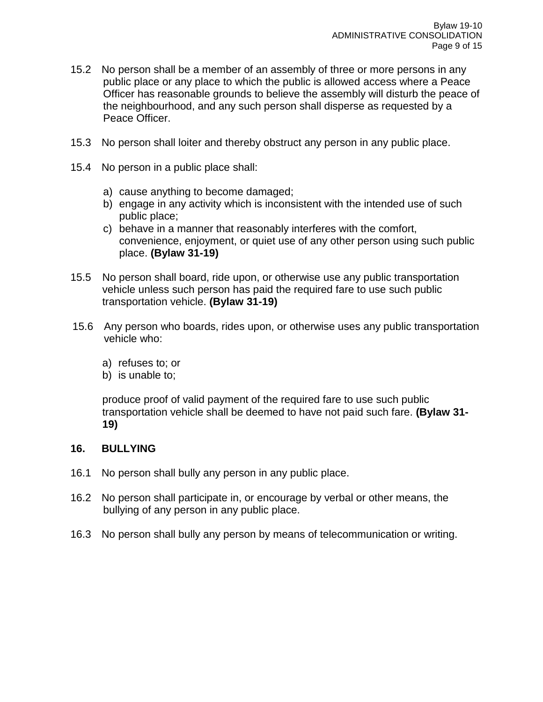- 15.2 No person shall be a member of an assembly of three or more persons in any public place or any place to which the public is allowed access where a Peace Officer has reasonable grounds to believe the assembly will disturb the peace of the neighbourhood, and any such person shall disperse as requested by a Peace Officer.
- 15.3 No person shall loiter and thereby obstruct any person in any public place.
- 15.4 No person in a public place shall:
	- a) cause anything to become damaged;
	- b) engage in any activity which is inconsistent with the intended use of such public place;
	- c) behave in a manner that reasonably interferes with the comfort, convenience, enjoyment, or quiet use of any other person using such public place. **(Bylaw 31-19)**
- 15.5 No person shall board, ride upon, or otherwise use any public transportation vehicle unless such person has paid the required fare to use such public transportation vehicle. **(Bylaw 31-19)**
- 15.6 Any person who boards, rides upon, or otherwise uses any public transportation vehicle who:
	- a) refuses to; or
	- b) is unable to;

produce proof of valid payment of the required fare to use such public transportation vehicle shall be deemed to have not paid such fare. **(Bylaw 31- 19)**

#### **16. BULLYING**

- 16.1 No person shall bully any person in any public place.
- 16.2 No person shall participate in, or encourage by verbal or other means, the bullying of any person in any public place.
- 16.3 No person shall bully any person by means of telecommunication or writing.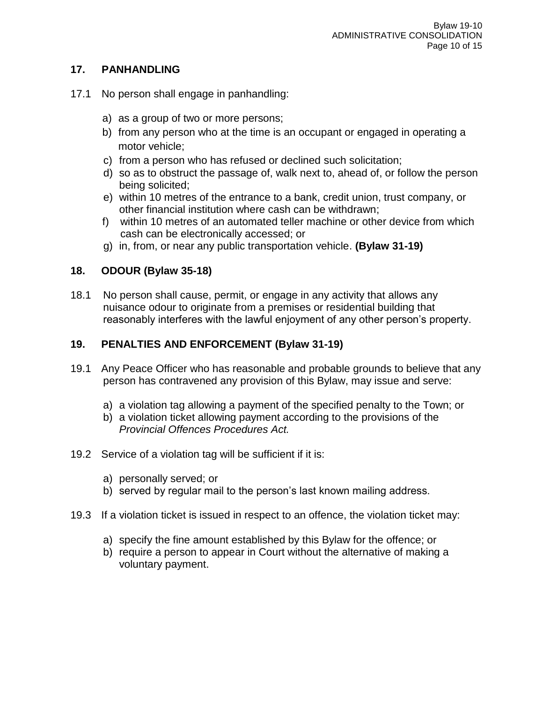# **17. PANHANDLING**

- 17.1 No person shall engage in panhandling:
	- a) as a group of two or more persons;
	- b) from any person who at the time is an occupant or engaged in operating a motor vehicle;
	- c) from a person who has refused or declined such solicitation;
	- d) so as to obstruct the passage of, walk next to, ahead of, or follow the person being solicited;
	- e) within 10 metres of the entrance to a bank, credit union, trust company, or other financial institution where cash can be withdrawn;
	- f) within 10 metres of an automated teller machine or other device from which cash can be electronically accessed; or
	- g) in, from, or near any public transportation vehicle. **(Bylaw 31-19)**

# **18. ODOUR (Bylaw 35-18)**

18.1 No person shall cause, permit, or engage in any activity that allows any nuisance odour to originate from a premises or residential building that reasonably interferes with the lawful enjoyment of any other person's property.

# **19. PENALTIES AND ENFORCEMENT (Bylaw 31-19)**

- 19.1 Any Peace Officer who has reasonable and probable grounds to believe that any person has contravened any provision of this Bylaw, may issue and serve:
	- a) a violation tag allowing a payment of the specified penalty to the Town; or
	- b) a violation ticket allowing payment according to the provisions of the *Provincial Offences Procedures Act.*
- 19.2 Service of a violation tag will be sufficient if it is:
	- a) personally served; or
	- b) served by regular mail to the person's last known mailing address.
- 19.3 If a violation ticket is issued in respect to an offence, the violation ticket may:
	- a) specify the fine amount established by this Bylaw for the offence; or
	- b) require a person to appear in Court without the alternative of making a voluntary payment.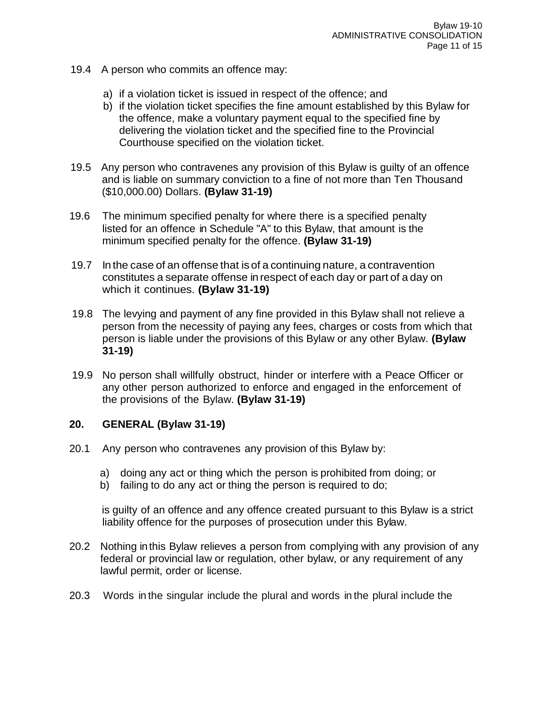- 19.4 A person who commits an offence may:
	- a) if a violation ticket is issued in respect of the offence; and
	- b) if the violation ticket specifies the fine amount established by this Bylaw for the offence, make a voluntary payment equal to the specified fine by delivering the violation ticket and the specified fine to the Provincial Courthouse specified on the violation ticket.
- 19.5 Any person who contravenes any provision of this Bylaw is guilty of an offence and is liable on summary conviction to a fine of not more than Ten Thousand (\$10,000.00) Dollars. **(Bylaw 31-19)**
- 19.6 The minimum specified penalty for where there is a specified penalty listed for an offence in Schedule "A" to this Bylaw, that amount is the minimum specified penalty for the offence. **(Bylaw 31-19)**
- 19.7 In the case of an offense that is of a continuing nature, a contravention constitutes a separate offense inrespect of each day or part of a day on which it continues. **(Bylaw 31-19)**
- 19.8 The levying and payment of any fine provided in this Bylaw shall not relieve a person from the necessity of paying any fees, charges or costs from which that person is liable under the provisions of this Bylaw or any other Bylaw. **(Bylaw 31-19)**
- 19.9 No person shall willfully obstruct, hinder or interfere with a Peace Officer or any other person authorized to enforce and engaged in the enforcement of the provisions of the Bylaw. **(Bylaw 31-19)**

### **20. GENERAL (Bylaw 31-19)**

- 20.1 Any person who contravenes any provision of this Bylaw by:
	- a) doing any act or thing which the person is prohibited from doing; or
	- b) failing to do any act or thing the person is required to do;

is guilty of an offence and any offence created pursuant to this Bylaw is a strict liability offence for the purposes of prosecution under this Bylaw.

- 20.2 Nothing in this Bylaw relieves a person from complying with any provision of any federal or provincial law or regulation, other bylaw, or any requirement of any lawful permit, order or license.
- 20.3 Words in the singular include the plural and words in the plural include the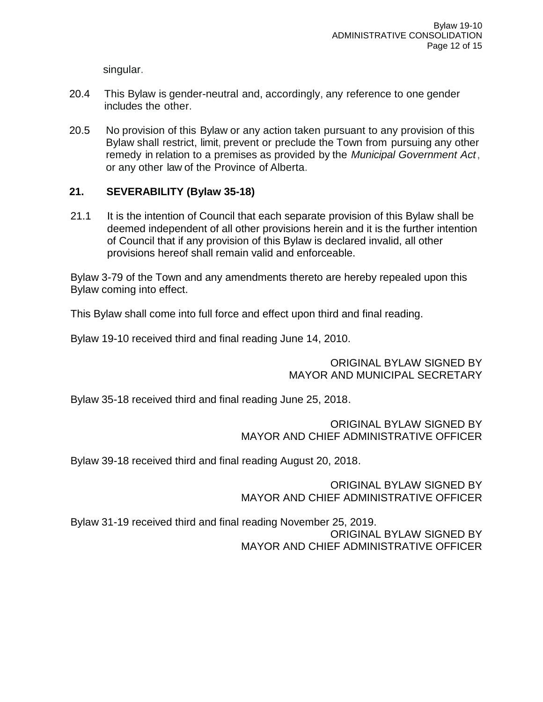singular.

- 20.4 This Bylaw is gender-neutral and, accordingly, any reference to one gender includes the other.
- 20.5 No provision of this Bylaw or any action taken pursuant to any provision of this Bylaw shall restrict, limit, prevent or preclude the Town from pursuing any other remedy in relation to a premises as provided by the *Municipal Government Act*, or any other law of the Province of Alberta.

# **21. SEVERABILITY (Bylaw 35-18)**

21.1 It is the intention of Council that each separate provision of this Bylaw shall be deemed independent of all other provisions herein and it is the further intention of Council that if any provision of this Bylaw is declared invalid, all other provisions hereof shall remain valid and enforceable.

Bylaw 3-79 of the Town and any amendments thereto are hereby repealed upon this Bylaw coming into effect.

This Bylaw shall come into full force and effect upon third and final reading.

Bylaw 19-10 received third and final reading June 14, 2010.

ORIGINAL BYLAW SIGNED BY MAYOR AND MUNICIPAL SECRETARY

Bylaw 35-18 received third and final reading June 25, 2018.

ORIGINAL BYLAW SIGNED BY MAYOR AND CHIEF ADMINISTRATIVE OFFICER

Bylaw 39-18 received third and final reading August 20, 2018.

ORIGINAL BYLAW SIGNED BY MAYOR AND CHIEF ADMINISTRATIVE OFFICER

Bylaw 31-19 received third and final reading November 25, 2019. ORIGINAL BYLAW SIGNED BY MAYOR AND CHIEF ADMINISTRATIVE OFFICER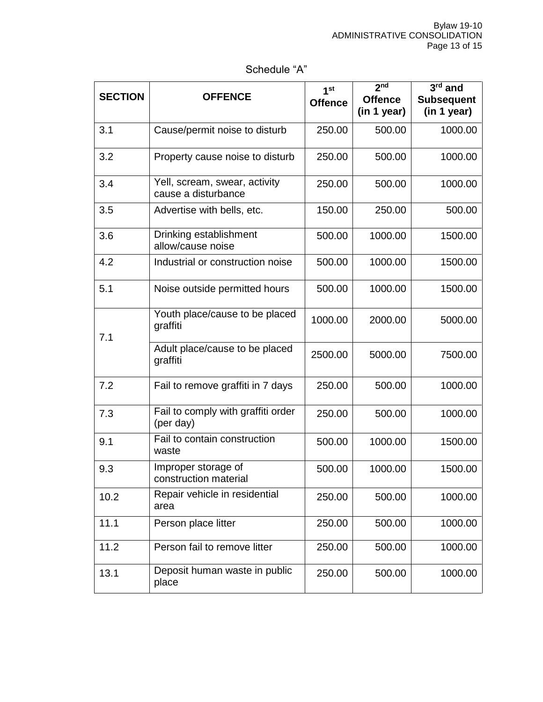# Schedule "A"

| <b>SECTION</b> | <b>OFFENCE</b>                                       | 1 <sup>st</sup><br><b>Offence</b> | 2 <sub>nd</sub><br><b>Offence</b> | $3^{\overline{rd}}$ and<br><b>Subsequent</b> |
|----------------|------------------------------------------------------|-----------------------------------|-----------------------------------|----------------------------------------------|
|                |                                                      |                                   | (in 1 year)                       | (in 1 year)                                  |
| 3.1            | Cause/permit noise to disturb                        | 250.00                            | 500.00                            | 1000.00                                      |
| 3.2            | Property cause noise to disturb                      | 250.00                            | 500.00                            | 1000.00                                      |
| 3.4            | Yell, scream, swear, activity<br>cause a disturbance | 250.00                            | 500.00                            | 1000.00                                      |
| 3.5            | Advertise with bells, etc.                           | 150.00                            | 250.00                            | 500.00                                       |
| 3.6            | Drinking establishment<br>allow/cause noise          | 500.00                            | 1000.00                           | 1500.00                                      |
| 4.2            | Industrial or construction noise                     | 500.00                            | 1000.00                           | 1500.00                                      |
| 5.1            | Noise outside permitted hours                        | 500.00                            | 1000.00                           | 1500.00                                      |
| 7.1            | Youth place/cause to be placed<br>graffiti           | 1000.00                           | 2000.00                           | 5000.00                                      |
|                | Adult place/cause to be placed<br>graffiti           | 2500.00                           | 5000.00                           | 7500.00                                      |
| 7.2            | Fail to remove graffiti in 7 days                    | 250.00                            | 500.00                            | 1000.00                                      |
| 7.3            | Fail to comply with graffiti order<br>(per day)      | 250.00                            | 500.00                            | 1000.00                                      |
| 9.1            | Fail to contain construction<br>waste                | 500.00                            | 1000.00                           | 1500.00                                      |
| 9.3            | Improper storage of<br>construction material         | 500.00                            | 1000.00                           | 1500.00                                      |
| 10.2           | Repair vehicle in residential<br>area                | 250.00                            | 500.00                            | 1000.00                                      |
| 11.1           | Person place litter                                  | 250.00                            | 500.00                            | 1000.00                                      |
| 11.2           | Person fail to remove litter                         | 250.00                            | 500.00                            | 1000.00                                      |
| 13.1           | Deposit human waste in public<br>place               | 250.00                            | 500.00                            | 1000.00                                      |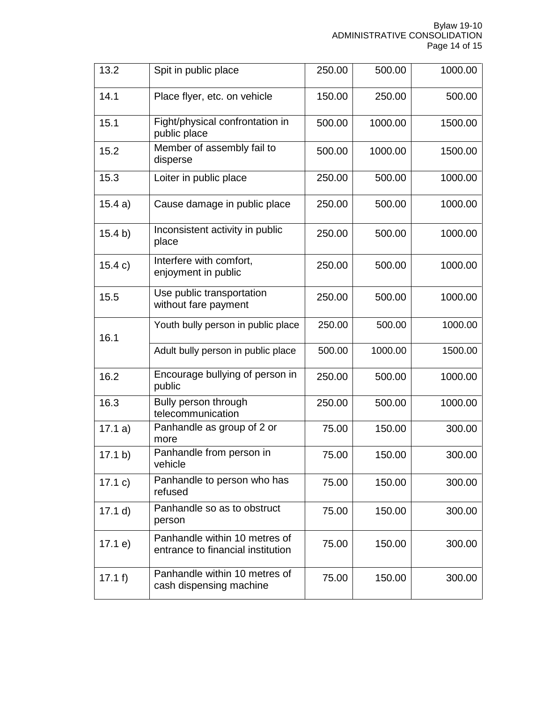| 13.2    | Spit in public place                                               | 250.00 | 500.00  | 1000.00 |
|---------|--------------------------------------------------------------------|--------|---------|---------|
| 14.1    | Place flyer, etc. on vehicle                                       | 150.00 | 250.00  | 500.00  |
| 15.1    | Fight/physical confrontation in<br>public place                    | 500.00 | 1000.00 | 1500.00 |
| 15.2    | Member of assembly fail to<br>disperse                             | 500.00 | 1000.00 | 1500.00 |
| 15.3    | Loiter in public place                                             | 250.00 | 500.00  | 1000.00 |
| 15.4a)  | Cause damage in public place                                       | 250.00 | 500.00  | 1000.00 |
| 15.4 b) | Inconsistent activity in public<br>place                           | 250.00 | 500.00  | 1000.00 |
| 15.4 c) | Interfere with comfort,<br>enjoyment in public                     | 250.00 | 500.00  | 1000.00 |
| 15.5    | Use public transportation<br>without fare payment                  | 250.00 | 500.00  | 1000.00 |
| 16.1    | Youth bully person in public place                                 | 250.00 | 500.00  | 1000.00 |
|         | Adult bully person in public place                                 | 500.00 | 1000.00 | 1500.00 |
| 16.2    | Encourage bullying of person in<br>public                          | 250.00 | 500.00  | 1000.00 |
| 16.3    | Bully person through<br>telecommunication                          | 250.00 | 500.00  | 1000.00 |
| 17.1a)  | Panhandle as group of 2 or<br>more                                 | 75.00  | 150.00  | 300.00  |
| 17.1 b) | Panhandle from person in<br>vehicle                                | 75.00  | 150.00  | 300.00  |
| 17.1 c) | Panhandle to person who has<br>refused                             | 75.00  | 150.00  | 300.00  |
| 17.1 d) | Panhandle so as to obstruct<br>person                              | 75.00  | 150.00  | 300.00  |
| 17.1 e) | Panhandle within 10 metres of<br>entrance to financial institution | 75.00  | 150.00  | 300.00  |
| 17.1 f  | Panhandle within 10 metres of<br>cash dispensing machine           | 75.00  | 150.00  | 300.00  |